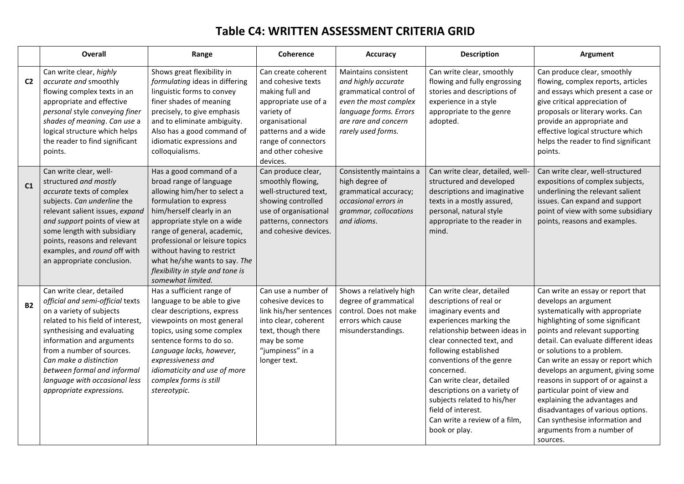## **Table C4: WRITTEN ASSESSMENT CRITERIA GRID**

|                | <b>Overall</b>                                                                                                                                                                                                                                                                                                                                | Range                                                                                                                                                                                                                                                                                                                                                             | Coherence                                                                                                                                                                                            | Accuracy                                                                                                                                                               | <b>Description</b>                                                                                                                                                                                                                                                                                                                                                                                           | <b>Argument</b>                                                                                                                                                                                                                                                                                                                                                                                                                                                                                                                             |
|----------------|-----------------------------------------------------------------------------------------------------------------------------------------------------------------------------------------------------------------------------------------------------------------------------------------------------------------------------------------------|-------------------------------------------------------------------------------------------------------------------------------------------------------------------------------------------------------------------------------------------------------------------------------------------------------------------------------------------------------------------|------------------------------------------------------------------------------------------------------------------------------------------------------------------------------------------------------|------------------------------------------------------------------------------------------------------------------------------------------------------------------------|--------------------------------------------------------------------------------------------------------------------------------------------------------------------------------------------------------------------------------------------------------------------------------------------------------------------------------------------------------------------------------------------------------------|---------------------------------------------------------------------------------------------------------------------------------------------------------------------------------------------------------------------------------------------------------------------------------------------------------------------------------------------------------------------------------------------------------------------------------------------------------------------------------------------------------------------------------------------|
| C <sub>2</sub> | Can write clear, highly<br>accurate and smoothly<br>flowing complex texts in an<br>appropriate and effective<br>personal style conveying finer<br>shades of meaning. Can use a<br>logical structure which helps<br>the reader to find significant<br>points.                                                                                  | Shows great flexibility in<br>formulating ideas in differing<br>linguistic forms to convey<br>finer shades of meaning<br>precisely, to give emphasis<br>and to eliminate ambiguity.<br>Also has a good command of<br>idiomatic expressions and<br>colloquialisms.                                                                                                 | Can create coherent<br>and cohesive texts<br>making full and<br>appropriate use of a<br>variety of<br>organisational<br>patterns and a wide<br>range of connectors<br>and other cohesive<br>devices. | Maintains consistent<br>and highly accurate<br>grammatical control of<br>even the most complex<br>language forms. Errors<br>are rare and concern<br>rarely used forms. | Can write clear, smoothly<br>flowing and fully engrossing<br>stories and descriptions of<br>experience in a style<br>appropriate to the genre<br>adopted.                                                                                                                                                                                                                                                    | Can produce clear, smoothly<br>flowing, complex reports, articles<br>and essays which present a case or<br>give critical appreciation of<br>proposals or literary works. Can<br>provide an appropriate and<br>effective logical structure which<br>helps the reader to find significant<br>points.                                                                                                                                                                                                                                          |
| C <sub>1</sub> | Can write clear, well-<br>structured and mostly<br>accurate texts of complex<br>subjects. Can underline the<br>relevant salient issues, expand<br>and support points of view at<br>some length with subsidiary<br>points, reasons and relevant<br>examples, and round off with<br>an appropriate conclusion.                                  | Has a good command of a<br>broad range of language<br>allowing him/her to select a<br>formulation to express<br>him/herself clearly in an<br>appropriate style on a wide<br>range of general, academic,<br>professional or leisure topics<br>without having to restrict<br>what he/she wants to say. The<br>flexibility in style and tone is<br>somewhat limited. | Can produce clear,<br>smoothly flowing,<br>well-structured text,<br>showing controlled<br>use of organisational<br>patterns, connectors<br>and cohesive devices.                                     | Consistently maintains a<br>high degree of<br>grammatical accuracy;<br>occasional errors in<br>grammar, collocations<br>and idioms.                                    | Can write clear, detailed, well-<br>structured and developed<br>descriptions and imaginative<br>texts in a mostly assured,<br>personal, natural style<br>appropriate to the reader in<br>mind.                                                                                                                                                                                                               | Can write clear, well-structured<br>expositions of complex subjects,<br>underlining the relevant salient<br>issues. Can expand and support<br>point of view with some subsidiary<br>points, reasons and examples.                                                                                                                                                                                                                                                                                                                           |
| <b>B2</b>      | Can write clear, detailed<br>official and semi-official texts<br>on a variety of subjects<br>related to his field of interest,<br>synthesising and evaluating<br>information and arguments<br>from a number of sources.<br>Can make a distinction<br>between formal and informal<br>language with occasional less<br>appropriate expressions. | Has a sufficient range of<br>language to be able to give<br>clear descriptions, express<br>viewpoints on most general<br>topics, using some complex<br>sentence forms to do so.<br>Language lacks, however,<br>expressiveness and<br>idiomaticity and use of more<br>complex forms is still<br>stereotypic.                                                       | Can use a number of<br>cohesive devices to<br>link his/her sentences<br>into clear, coherent<br>text, though there<br>may be some<br>"jumpiness" in a<br>longer text.                                | Shows a relatively high<br>degree of grammatical<br>control. Does not make<br>errors which cause<br>misunderstandings.                                                 | Can write clear, detailed<br>descriptions of real or<br>imaginary events and<br>experiences marking the<br>relationship between ideas in<br>clear connected text, and<br>following established<br>conventions of the genre<br>concerned.<br>Can write clear, detailed<br>descriptions on a variety of<br>subjects related to his/her<br>field of interest.<br>Can write a review of a film,<br>book or play. | Can write an essay or report that<br>develops an argument<br>systematically with appropriate<br>highlighting of some significant<br>points and relevant supporting<br>detail. Can evaluate different ideas<br>or solutions to a problem.<br>Can write an essay or report which<br>develops an argument, giving some<br>reasons in support of or against a<br>particular point of view and<br>explaining the advantages and<br>disadvantages of various options.<br>Can synthesise information and<br>arguments from a number of<br>sources. |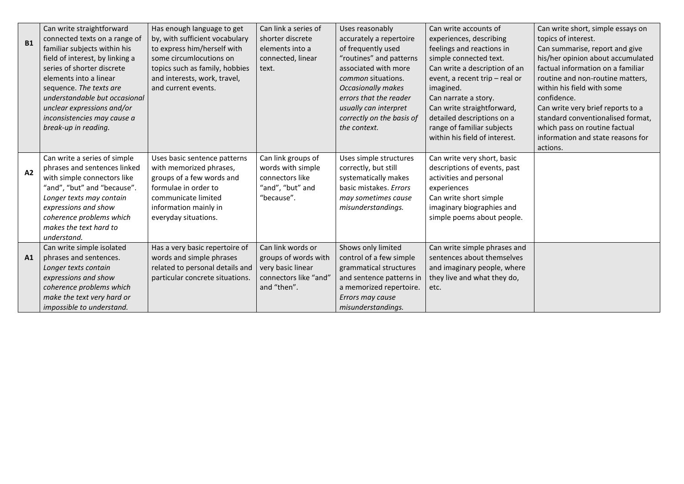| <b>B1</b> | Can write straightforward<br>connected texts on a range of<br>familiar subjects within his<br>field of interest, by linking a<br>series of shorter discrete<br>elements into a linear<br>sequence. The texts are<br>understandable but occasional   | Has enough language to get<br>by, with sufficient vocabulary<br>to express him/herself with<br>some circumlocutions on<br>topics such as family, hobbies<br>and interests, work, travel,<br>and current events. | Can link a series of<br>shorter discrete<br>elements into a<br>connected, linear<br>text.              | Uses reasonably<br>accurately a repertoire<br>of frequently used<br>"routines" and patterns<br>associated with more<br><i>common</i> situations.<br><b>Occasionally makes</b><br>errors that the reader | Can write accounts of<br>experiences, describing<br>feelings and reactions in<br>simple connected text.<br>Can write a description of an<br>event, a recent trip - real or<br>imagined.<br>Can narrate a story. | Can write short, simple essays on<br>topics of interest.<br>Can summarise, report and give<br>his/her opinion about accumulated<br>factual information on a familiar<br>routine and non-routine matters,<br>within his field with some<br>confidence. |
|-----------|-----------------------------------------------------------------------------------------------------------------------------------------------------------------------------------------------------------------------------------------------------|-----------------------------------------------------------------------------------------------------------------------------------------------------------------------------------------------------------------|--------------------------------------------------------------------------------------------------------|---------------------------------------------------------------------------------------------------------------------------------------------------------------------------------------------------------|-----------------------------------------------------------------------------------------------------------------------------------------------------------------------------------------------------------------|-------------------------------------------------------------------------------------------------------------------------------------------------------------------------------------------------------------------------------------------------------|
|           | unclear expressions and/or<br>inconsistencies may cause a                                                                                                                                                                                           |                                                                                                                                                                                                                 |                                                                                                        | usually can interpret<br>correctly on the basis of                                                                                                                                                      | Can write straightforward,<br>detailed descriptions on a                                                                                                                                                        | Can write very brief reports to a<br>standard conventionalised format,                                                                                                                                                                                |
|           | break-up in reading.                                                                                                                                                                                                                                |                                                                                                                                                                                                                 |                                                                                                        | the context.                                                                                                                                                                                            | range of familiar subjects<br>within his field of interest.                                                                                                                                                     | which pass on routine factual<br>information and state reasons for<br>actions.                                                                                                                                                                        |
| A2        | Can write a series of simple<br>phrases and sentences linked<br>with simple connectors like<br>"and", "but" and "because".<br>Longer texts may contain<br>expressions and show<br>coherence problems which<br>makes the text hard to<br>understand. | Uses basic sentence patterns<br>with memorized phrases,<br>groups of a few words and<br>formulae in order to<br>communicate limited<br>information mainly in<br>everyday situations.                            | Can link groups of<br>words with simple<br>connectors like<br>"and", "but" and<br>"because".           | Uses simple structures<br>correctly, but still<br>systematically makes<br>basic mistakes. Errors<br>may sometimes cause<br>misunderstandings.                                                           | Can write very short, basic<br>descriptions of events, past<br>activities and personal<br>experiences<br>Can write short simple<br>imaginary biographies and<br>simple poems about people.                      |                                                                                                                                                                                                                                                       |
| A1        | Can write simple isolated<br>phrases and sentences.<br>Longer texts contain<br>expressions and show<br>coherence problems which<br>make the text very hard or<br>impossible to understand.                                                          | Has a very basic repertoire of<br>words and simple phrases<br>related to personal details and<br>particular concrete situations.                                                                                | Can link words or<br>groups of words with<br>very basic linear<br>connectors like "and"<br>and "then". | Shows only limited<br>control of a few simple<br>grammatical structures<br>and sentence patterns in<br>a memorized repertoire.<br>Errors may cause<br>misunderstandings.                                | Can write simple phrases and<br>sentences about themselves<br>and imaginary people, where<br>they live and what they do,<br>etc.                                                                                |                                                                                                                                                                                                                                                       |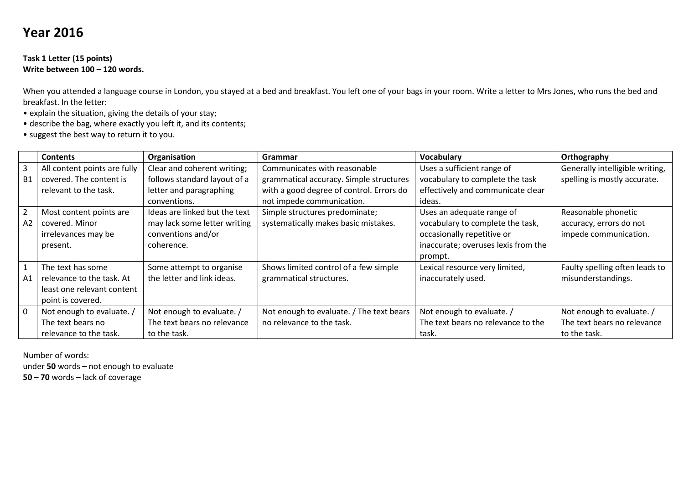# **Year 2016**

#### **Task 1 Letter (15 points) Write between 100 – 120 words.**

When you attended a language course in London, you stayed at a bed and breakfast. You left one of your bags in your room. Write a letter to Mrs Jones, who runs the bed and breakfast. In the letter:

- explain the situation, giving the details of your stay;
- describe the bag, where exactly you left it, and its contents;
- suggest the best way to return it to you.

|                | <b>Contents</b>              | Organisation                  | Grammar                                  | Vocabulary                          | Orthography                     |
|----------------|------------------------------|-------------------------------|------------------------------------------|-------------------------------------|---------------------------------|
| 3              | All content points are fully | Clear and coherent writing;   | Communicates with reasonable             | Uses a sufficient range of          | Generally intelligible writing, |
| <b>B1</b>      | covered. The content is      | follows standard layout of a  | grammatical accuracy. Simple structures  | vocabulary to complete the task     | spelling is mostly accurate.    |
|                | relevant to the task.        | letter and paragraphing       | with a good degree of control. Errors do | effectively and communicate clear   |                                 |
|                |                              | conventions.                  | not impede communication.                | ideas.                              |                                 |
| $\overline{2}$ | Most content points are      | Ideas are linked but the text | Simple structures predominate;           | Uses an adequate range of           | Reasonable phonetic             |
| A2             | covered. Minor               | may lack some letter writing  | systematically makes basic mistakes.     | vocabulary to complete the task,    | accuracy, errors do not         |
|                | irrelevances may be          | conventions and/or            |                                          | occasionally repetitive or          | impede communication.           |
|                | present.                     | coherence.                    |                                          | inaccurate; overuses lexis from the |                                 |
|                |                              |                               |                                          | prompt.                             |                                 |
| 1              | The text has some            | Some attempt to organise      | Shows limited control of a few simple    | Lexical resource very limited,      | Faulty spelling often leads to  |
| A1             | relevance to the task. At    | the letter and link ideas.    | grammatical structures.                  | inaccurately used.                  | misunderstandings.              |
|                | least one relevant content   |                               |                                          |                                     |                                 |
|                | point is covered.            |                               |                                          |                                     |                                 |
| $\mathbf 0$    | Not enough to evaluate. /    | Not enough to evaluate. /     | Not enough to evaluate. / The text bears | Not enough to evaluate. /           | Not enough to evaluate. /       |
|                | The text bears no            | The text bears no relevance   | no relevance to the task.                | The text bears no relevance to the  | The text bears no relevance     |
|                | relevance to the task.       | to the task.                  |                                          | task.                               | to the task.                    |

Number of words: under **50** words – not enough to evaluate **50 – 70** words – lack of coverage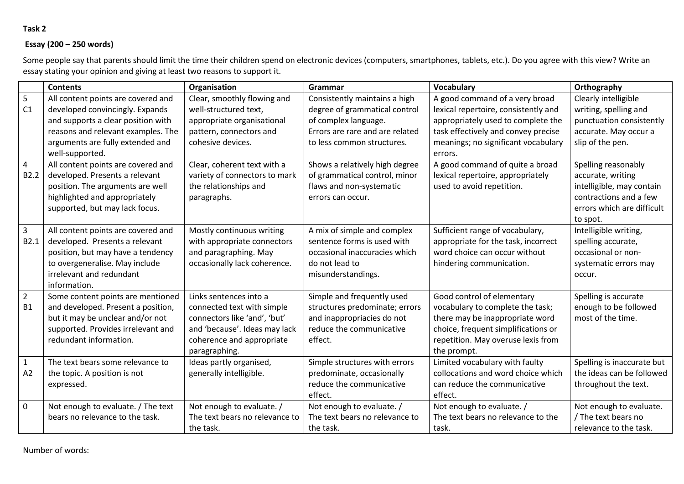### **Task 2**

#### **Essay (200 – 250 words)**

Some people say that parents should limit the time their children spend on electronic devices (computers, smartphones, tablets, etc.). Do you agree with this view? Write an essay stating your opinion and giving at least two reasons to support it.

|                  | <b>Contents</b>                    | Organisation                   | Grammar                         | <b>Vocabulary</b>                    | Orthography                |
|------------------|------------------------------------|--------------------------------|---------------------------------|--------------------------------------|----------------------------|
| 5                | All content points are covered and | Clear, smoothly flowing and    | Consistently maintains a high   | A good command of a very broad       | Clearly intelligible       |
| C1               | developed convincingly. Expands    | well-structured text,          | degree of grammatical control   | lexical repertoire, consistently and | writing, spelling and      |
|                  | and supports a clear position with | appropriate organisational     | of complex language.            | appropriately used to complete the   | punctuation consistently   |
|                  | reasons and relevant examples. The | pattern, connectors and        | Errors are rare and are related | task effectively and convey precise  | accurate. May occur a      |
|                  | arguments are fully extended and   | cohesive devices.              | to less common structures.      | meanings; no significant vocabulary  | slip of the pen.           |
|                  | well-supported.                    |                                |                                 | errors.                              |                            |
| 4                | All content points are covered and | Clear, coherent text with a    | Shows a relatively high degree  | A good command of quite a broad      | Spelling reasonably        |
| B <sub>2.2</sub> | developed. Presents a relevant     | variety of connectors to mark  | of grammatical control, minor   | lexical repertoire, appropriately    | accurate, writing          |
|                  | position. The arguments are well   | the relationships and          | flaws and non-systematic        | used to avoid repetition.            | intelligible, may contain  |
|                  | highlighted and appropriately      | paragraphs.                    | errors can occur.               |                                      | contractions and a few     |
|                  | supported, but may lack focus.     |                                |                                 |                                      | errors which are difficult |
|                  |                                    |                                |                                 |                                      | to spot.                   |
| 3                | All content points are covered and | Mostly continuous writing      | A mix of simple and complex     | Sufficient range of vocabulary,      | Intelligible writing,      |
| B <sub>2.1</sub> | developed. Presents a relevant     | with appropriate connectors    | sentence forms is used with     | appropriate for the task, incorrect  | spelling accurate,         |
|                  | position, but may have a tendency  | and paragraphing. May          | occasional inaccuracies which   | word choice can occur without        | occasional or non-         |
|                  | to overgeneralise. May include     | occasionally lack coherence.   | do not lead to                  | hindering communication.             | systematic errors may      |
|                  | irrelevant and redundant           |                                | misunderstandings.              |                                      | occur.                     |
|                  | information.                       |                                |                                 |                                      |                            |
| $\overline{2}$   | Some content points are mentioned  | Links sentences into a         | Simple and frequently used      | Good control of elementary           | Spelling is accurate       |
| <b>B1</b>        | and developed. Present a position, | connected text with simple     | structures predominate; errors  | vocabulary to complete the task;     | enough to be followed      |
|                  | but it may be unclear and/or not   | connectors like 'and', 'but'   | and inappropriacies do not      | there may be inappropriate word      | most of the time.          |
|                  | supported. Provides irrelevant and | and 'because'. Ideas may lack  | reduce the communicative        | choice, frequent simplifications or  |                            |
|                  | redundant information.             | coherence and appropriate      | effect.                         | repetition. May overuse lexis from   |                            |
|                  |                                    | paragraphing.                  |                                 | the prompt.                          |                            |
| $\mathbf{1}$     | The text bears some relevance to   | Ideas partly organised,        | Simple structures with errors   | Limited vocabulary with faulty       | Spelling is inaccurate but |
| A2               | the topic. A position is not       | generally intelligible.        | predominate, occasionally       | collocations and word choice which   | the ideas can be followed  |
|                  | expressed.                         |                                | reduce the communicative        | can reduce the communicative         | throughout the text.       |
|                  |                                    |                                | effect.                         | effect.                              |                            |
| 0                | Not enough to evaluate. / The text | Not enough to evaluate. /      | Not enough to evaluate. /       | Not enough to evaluate. /            | Not enough to evaluate.    |
|                  | bears no relevance to the task.    | The text bears no relevance to | The text bears no relevance to  | The text bears no relevance to the   | / The text bears no        |
|                  |                                    | the task.                      | the task.                       | task.                                | relevance to the task.     |

Number of words: